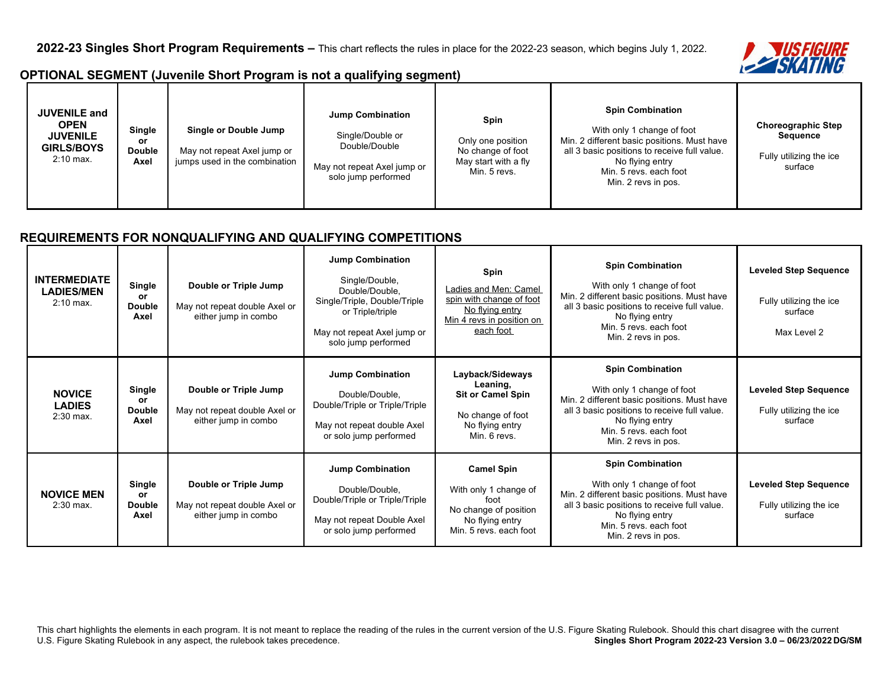

## **OPTIONAL SEGMENT (Juvenile Short Program is not a qualifying segment)**

| <b>JUVENILE and</b><br><b>OPEN</b><br><b>JUVENILE</b><br><b>GIRLS/BOYS</b><br>$2:10$ max. | <b>Single</b><br>or<br><b>Double</b><br>Axel | Single or Double Jump<br>May not repeat Axel jump or<br>jumps used in the combination | <b>Jump Combination</b><br>Single/Double or<br>Double/Double<br>May not repeat Axel jump or<br>solo jump performed | Spin<br>Only one position<br>No change of foot<br>May start with a fly<br>Min. 5 revs. | <b>Spin Combination</b><br>With only 1 change of foot<br>Min. 2 different basic positions. Must have<br>all 3 basic positions to receive full value.<br>No flying entry<br>Min. 5 revs. each foot<br>Min. 2 revs in pos. | <b>Choreographic Step</b><br>Sequence<br>Fully utilizing the ice<br>surface |
|-------------------------------------------------------------------------------------------|----------------------------------------------|---------------------------------------------------------------------------------------|--------------------------------------------------------------------------------------------------------------------|----------------------------------------------------------------------------------------|--------------------------------------------------------------------------------------------------------------------------------------------------------------------------------------------------------------------------|-----------------------------------------------------------------------------|
|-------------------------------------------------------------------------------------------|----------------------------------------------|---------------------------------------------------------------------------------------|--------------------------------------------------------------------------------------------------------------------|----------------------------------------------------------------------------------------|--------------------------------------------------------------------------------------------------------------------------------------------------------------------------------------------------------------------------|-----------------------------------------------------------------------------|

## **REQUIREMENTS FOR NONQUALIFYING AND QUALIFYING COMPETITIONS**

| <b>INTERMEDIATE</b><br><b>LADIES/MEN</b><br>$2:10$ max. | Single<br>or<br><b>Double</b><br>Axel | Double or Triple Jump<br>May not repeat double Axel or<br>either jump in combo | <b>Jump Combination</b><br>Single/Double,<br>Double/Double,<br>Single/Triple, Double/Triple<br>or Triple/triple<br>May not repeat Axel jump or<br>solo jump performed | <b>Spin</b><br><b>Ladies and Men: Camel</b><br>spin with change of foot<br>No flying entry<br>Min 4 revs in position on<br>each foot | <b>Spin Combination</b><br>With only 1 change of foot<br>Min. 2 different basic positions. Must have<br>all 3 basic positions to receive full value.<br>No flying entry<br>Min. 5 revs. each foot<br>Min. 2 revs in pos. | <b>Leveled Step Sequence</b><br>Fully utilizing the ice<br>surface<br>Max Level 2 |
|---------------------------------------------------------|---------------------------------------|--------------------------------------------------------------------------------|-----------------------------------------------------------------------------------------------------------------------------------------------------------------------|--------------------------------------------------------------------------------------------------------------------------------------|--------------------------------------------------------------------------------------------------------------------------------------------------------------------------------------------------------------------------|-----------------------------------------------------------------------------------|
| <b>NOVICE</b><br><b>LADIES</b><br>$2:30$ max.           | Single<br>or<br><b>Double</b><br>Axel | Double or Triple Jump<br>May not repeat double Axel or<br>either jump in combo | <b>Jump Combination</b><br>Double/Double,<br>Double/Triple or Triple/Triple<br>May not repeat double Axel<br>or solo jump performed                                   | Layback/Sideways<br>Leaning,<br><b>Sit or Camel Spin</b><br>No change of foot<br>No flying entry<br>Min. 6 revs.                     | <b>Spin Combination</b><br>With only 1 change of foot<br>Min. 2 different basic positions. Must have<br>all 3 basic positions to receive full value.<br>No flying entry<br>Min. 5 revs. each foot<br>Min. 2 revs in pos. | <b>Leveled Step Sequence</b><br>Fully utilizing the ice<br>surface                |
| <b>NOVICE MEN</b><br>$2:30$ max.                        | Single<br>or<br><b>Double</b><br>Axel | Double or Triple Jump<br>May not repeat double Axel or<br>either jump in combo | <b>Jump Combination</b><br>Double/Double,<br>Double/Triple or Triple/Triple<br>May not repeat Double Axel<br>or solo jump performed                                   | <b>Camel Spin</b><br>With only 1 change of<br>foot<br>No change of position<br>No flying entry<br>Min. 5 revs. each foot             | <b>Spin Combination</b><br>With only 1 change of foot<br>Min. 2 different basic positions. Must have<br>all 3 basic positions to receive full value.<br>No flying entry<br>Min. 5 revs. each foot<br>Min. 2 revs in pos. | <b>Leveled Step Sequence</b><br>Fully utilizing the ice<br>surface                |

This chart highlights the elements in each program. It is not meant to replace the reading of the rules in the current version of the U.S. Figure Skating Rulebook. Should this chart disagree with the current U.S. Figure Skating Rulebook in any aspect, the rulebook takes precedence. **Singles Short Program 2022-23 Version 3.0 – 06/23/2022 DG/SM**